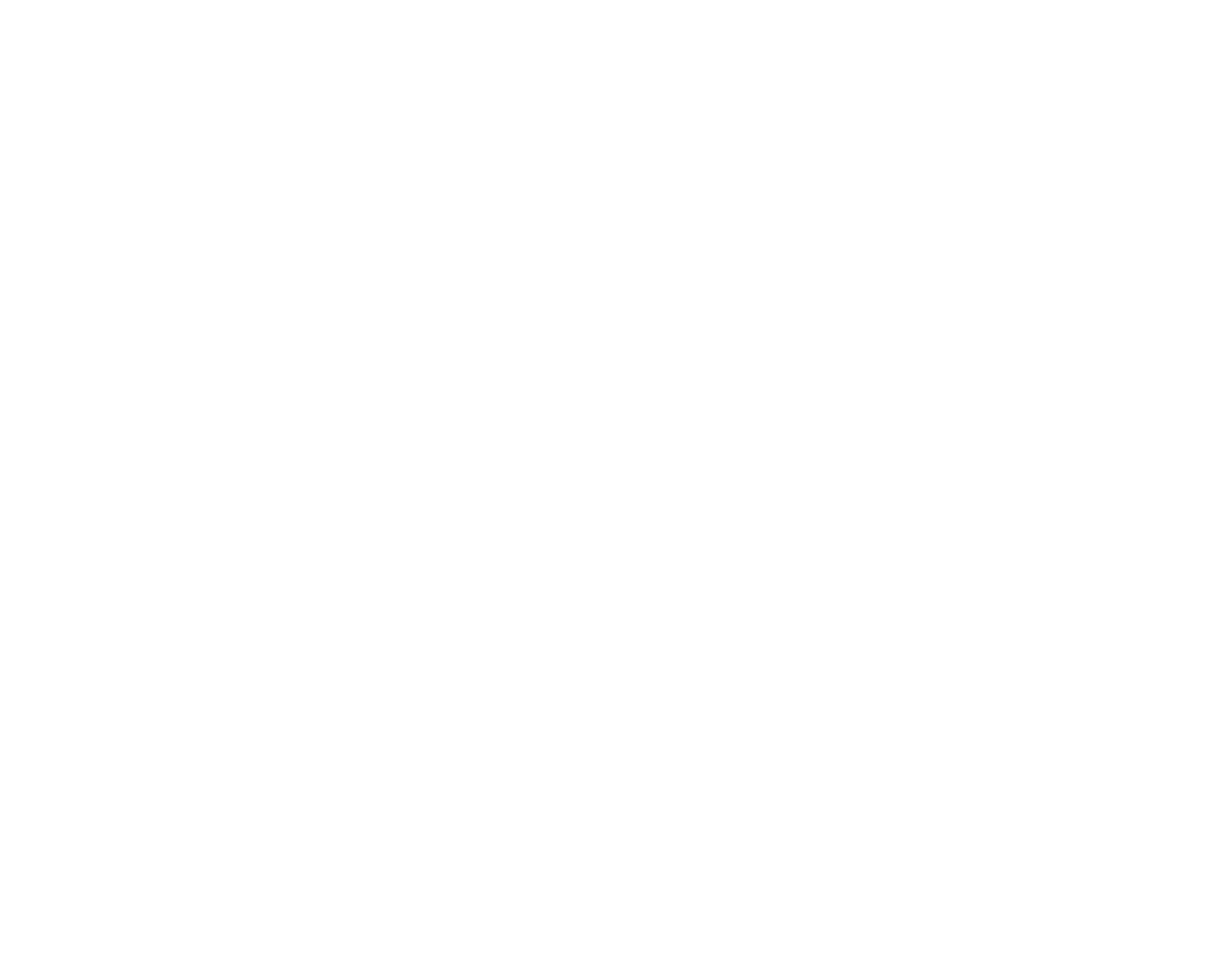

## **Summary of AMAFCA's MS4 Construction Site Stormwater Runoff Control Program FY 2021 (July 1, 2020 – June 30, 2021)**

NPDES Permit No. NMR04A000 Part I.D.5.a - Construction Site Stormwater Runoff Control Program

Construction site stormwater runoff control is intended to control polluted stormwater runoff from a construction site to Municipal Separate Storm Sewer Systems (MS4s) that is ultimately discharged into local rivers and streams. Sediment is usually the main pollutant of concern for construction site stormwater runoff. Sediment runoff rates from construction sites are typically 10 to 20 times greater than those of agricultural lands, and 1,000 to 2,000 times greater than those of forest lands. During a short period of time, construction sites can contribute more sediment to streams than can be deposited naturally during several decades. In accordance with AMAFCA's SWMP, AMAFCA has continued and will continue to follow its program practices outlined in the program's strategies and procedures to control construction site stormwater runoff.

AMAFCA files Notice of Intent (NOI) documents for a Construction General Permit (CGP) for each of their construction sites that is greater than 1 acre in size. The image below shows the active construction sites in FY 2021.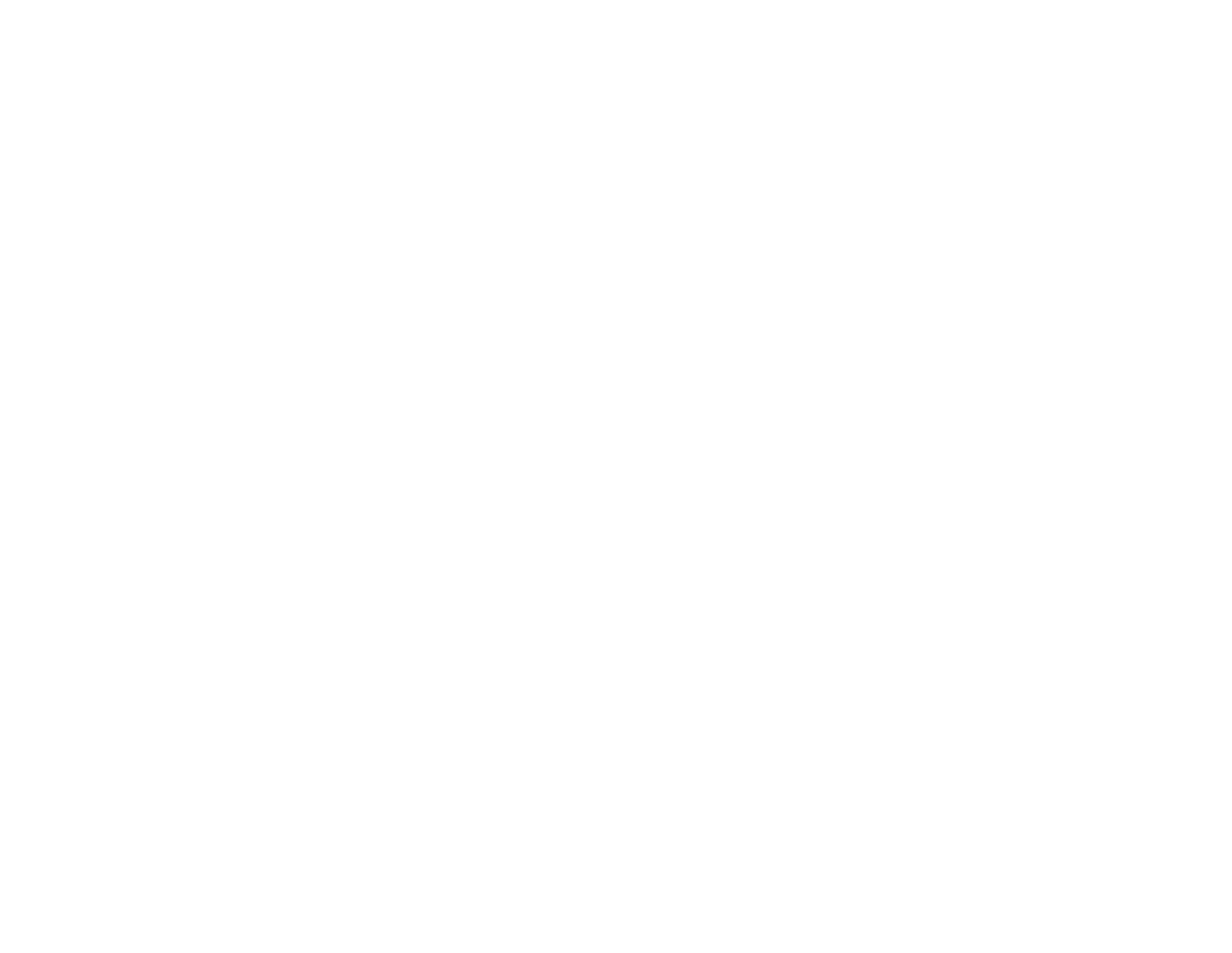| $\rightarrow$<br>$\leftarrow$ | C<br>npdes-ereporting.epa.gov/net-cgp/action/secured/home |                                                                                               |                  |                                                                        |                                                     |                                                |                               |                                       |                                |  |
|-------------------------------|-----------------------------------------------------------|-----------------------------------------------------------------------------------------------|------------------|------------------------------------------------------------------------|-----------------------------------------------------|------------------------------------------------|-------------------------------|---------------------------------------|--------------------------------|--|
| <b>III</b> Apps               | Dell                                                      | INT'L STORMWATE                                                                               |                  | <b>b</b> All Bills   Bill.com <b>S</b> <sup>b</sup> Home - City Of Alb | 8 USGS Web Mapper<br>I Have Trash - IDP             |                                                |                               |                                       |                                |  |
| π                             |                                                           | <b>CPA</b> Environmental Protection<br><b>My Requests</b>                                     | Resources $\sim$ |                                                                        |                                                     |                                                |                               |                                       |                                |  |
|                               | NeT<br>NPDES eReporting Tool                              |                                                                                               |                  |                                                                        | <b>NPDES Stormwater Construction General Permit</b> |                                                |                               |                                       |                                |  |
|                               | <b>Create New/Request Permissions</b>                     |                                                                                               |                  |                                                                        |                                                     |                                                |                               |                                       |                                |  |
|                               | Create new NOI or LEW                                     |                                                                                               |                  |                                                                        |                                                     | Request Permissions for an existing NOI or LEW |                               | Do I qua                              |                                |  |
|                               | My Projects/Sites                                         |                                                                                               |                  |                                                                        |                                                     |                                                |                               |                                       |                                |  |
|                               | Filter <sub>T</sub>                                       |                                                                                               |                  |                                                                        |                                                     |                                                |                               |                                       |                                |  |
|                               | Show<br>10                                                | $\vee$ entries                                                                                |                  |                                                                        |                                                     |                                                |                               |                                       |                                |  |
|                               | <b>Actions</b>                                            | Project / Site Name                                                                           | IT NPDES ID      | If Submission Status <b>O</b>                                          | $\  \cdot \ $ Submission Type $\Theta$              | $\Box$ Coverage Status $\Theta$                | $\Box$ Coverage Type $\Theta$ | <b>■ Certified / Submitted Date ●</b> | $\Box$ Effective Date $\Theta$ |  |
|                               | ۰<br>Actions +                                            | Valle de Oro Swale Project                                                                    | NMR10045C        | Approved                                                               | New                                                 | Active                                         | <b>General Permit</b>         | 08/12/2021                            | 08/26/2021                     |  |
|                               | ۰<br>Actions +                                            | Valle de Oro Outfall Structure                                                                | NMR1002OU        | Approved                                                               | <b>Discontinuation</b>                              | <b>O</b> Discontinued                          | Low Erosivity Waiver          | 07/14/2021                            | 01/10/2020                     |  |
|                               | Actions +<br>۰                                            | Black Mesa 3 Dam Outlet Raymac<br>Dam to Don Felipe Dam Phase III and<br><b>IV Project</b>    | NMR1002H1        | Approved                                                               | Termination                                         | <b>Terminated</b>                              | <b>General Permit</b>         | 06/15/2021                            | 10/16/2019                     |  |
|                               | Actions +<br>۰                                            | Lower Bear Tributary Arroyo Regional<br><b>Flood Control and Water Quality</b><br>Improvement | <b>NMR1001XR</b> | Approved                                                               | Termination                                         | ● Terminated                                   | <b>General Permit</b>         | 06/15/2021                            | 03/06/2019                     |  |
|                               | ٥<br>Actions +                                            | Black Mesa 3 Dam Outlet Raymac to<br>McCoy Dam - Phase V                                      | NMR1003C4        | Approved                                                               | Termination                                         | <b>O</b> Terminated                            | <b>General Permit</b>         | 06/15/2021                            | 10/15/2020                     |  |

*Screen Shot from EPA's Net NPDES Tool Showing Active CGP NOIs*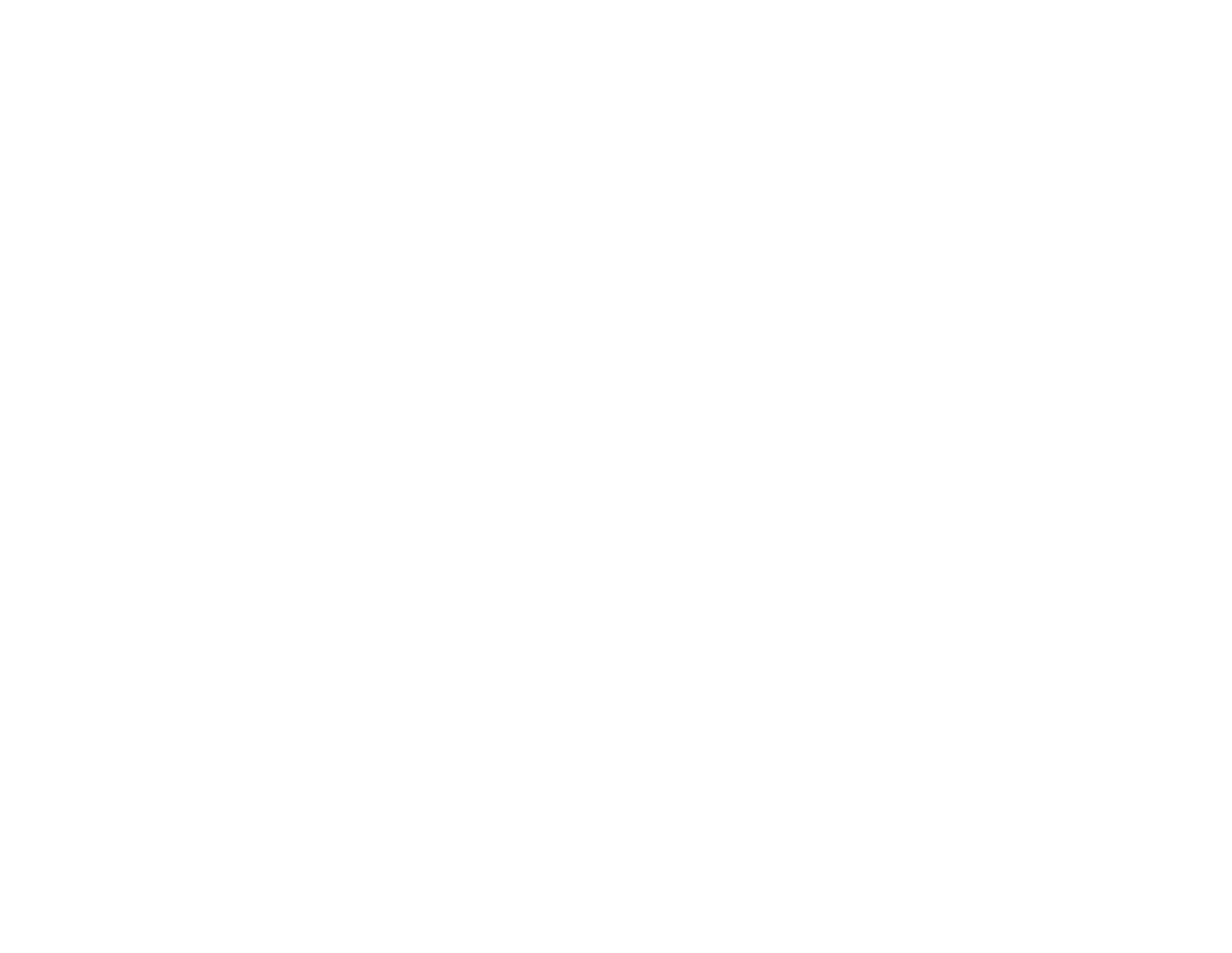Related to the CGP, EPA published a draft 2022 CGP document for public review and comment in May 2021 and allowed comments until July 12, 2021. AMAFCA worked closely with area MS4s to develop and submit comments on the draft 2022 CGP. AMAFCA also attended an EPA webinar on the draft 2022 CGP.

As part of the North Diversion Channel (NDC) Embayment Earthwork and Grade Control Structures construction project, which AMAFCA began in 2015, AMAFCA regularly monitors the status of vegetation growing in the channel bed of the embayment where it drains into the Rio Grande in Bernalillo County, New Mexico. The NDC Embayment Bed was filled with approximately 29,130 cubic yards of clean fill to raise the existing embayment with approximately 2,380 cubic yards of rock riprap in January and February of 2016. The project impacted approximately 7.9 acres of waters managed by the U.S. Army Corps of Engineers (USACE). AMAFCA must comply with USACE Regulation Regional General Permit NM-14-01, Stream Stabilization and Water Quality Improvement Projects within Urban Ephemeral Channels, relative to the status of vegetation colonizing the recently completed project. Specifically, AMAFCA must monitor vegetation on the newly constructed embayment to demonstrate compliance with the special conditions of the Regional General Permit Verification: Action No. SPA-2015-00147- ABQ.

AMAFCA must manage native species by removing or limiting the presence and spread of nonnative and noxious weed species. Many of the non-native and noxious weed species are introduced to the site from rainfall runoff coming from other parts of Albuquerque and it is extremely difficult to eliminate these species completely. Under the permit requirements and stipulations of the USACE, AMAFCA must reduce the presence of non-native species for the site's overall vegetative cover.

In late 2019, AMAFCA met with the USACE to discuss the Special Conditions in the Regional General Permit. Due to the project area within the NDC being a very dynamic system, AMAFCA worked with the USACE to revise the Special Conditions to be in compliance with the Regional General Permit. The Special Conditions changes the Bosque Seed mix to 70-percent native and30 percent non-native of baseline by year 3, measured at 10 randomly selected metered transects.

During the May 2021 plant field training, AMAFCA staff were split into groups of 3-5 staff members and paired with an SWCA Environmental Consultant biologist. The groups walked throughout the NDC identifying different grass, forb/herb, shrub, and tree species and gave staff tips on how to identify and distinguish between the species while using this plant field guide. During the plant field training, SWCA biologists and AMAFCA observed that there were a significant number of non-native species that are not considered noxious weeds providing ground cover in the NDC. Although these species are considered non-native, SWCA and AMAFCA identified this ground cover as providing a positive ecological function by increasing soil stability and significantly reducing erosion potential at the site. However, if AMAFCA was to remove these species leaving bare ground, then the site would easily be overrun with non-native species and much harder to manage. With these factors in mind, SWCA and AMAFCA staff further developed this field guide to include a color-coded system for staff to quickly differentiate between the different groups of species based on their ecological function and noxious weed status, described in detail below and in the attached plant field guide. AMAFCA may also use this field guide to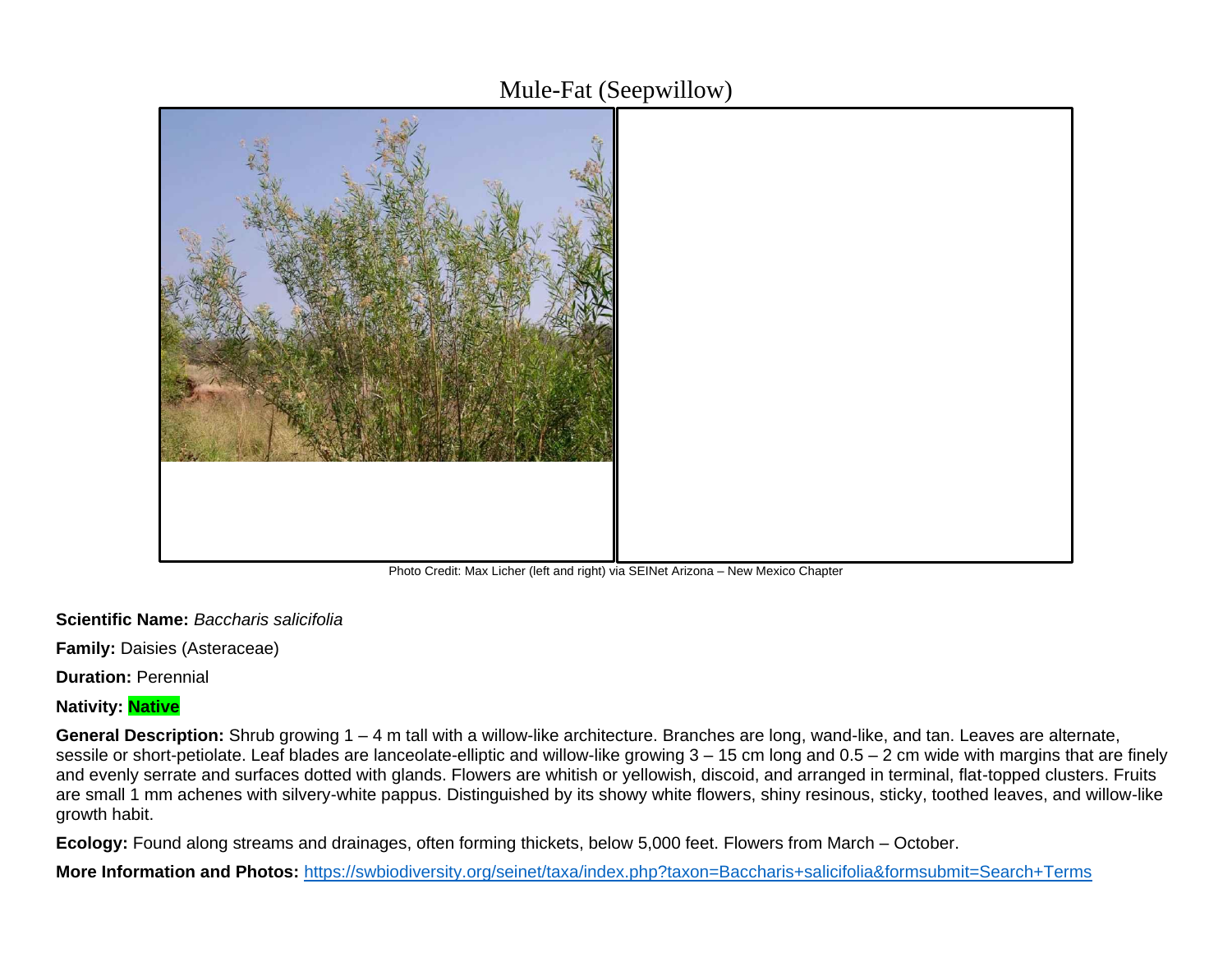identify and locate species listed as non-native and/or noxious and target them for eradication as part of their maintenance activities. Vegetation field training was aimed at recognizing the 70 percent native and 30-percent non-native mix and allowing AMAFCA to maintain this recommendation.

The attached report, *Vegetation Monitoring Report for the North Diversion Channel* / SWCA Project No. 42159.03, February 14, 2020, completed by SWCA, and this letter are considered the year 1 report related to the 2015 USACE Regional General Permit Verification: Action No. SPA-2015-00147-ABQ, with the updated Special Conditions recommendation by SWCA, the vegetation monitoring contractor, and subsequent consultation and agreement by USACE on 70 percent native and 30-percent non-native mix of vegetation.



*Photos from AMAFCA's North Diversion Channel Embayment Staff Training in May 2021*